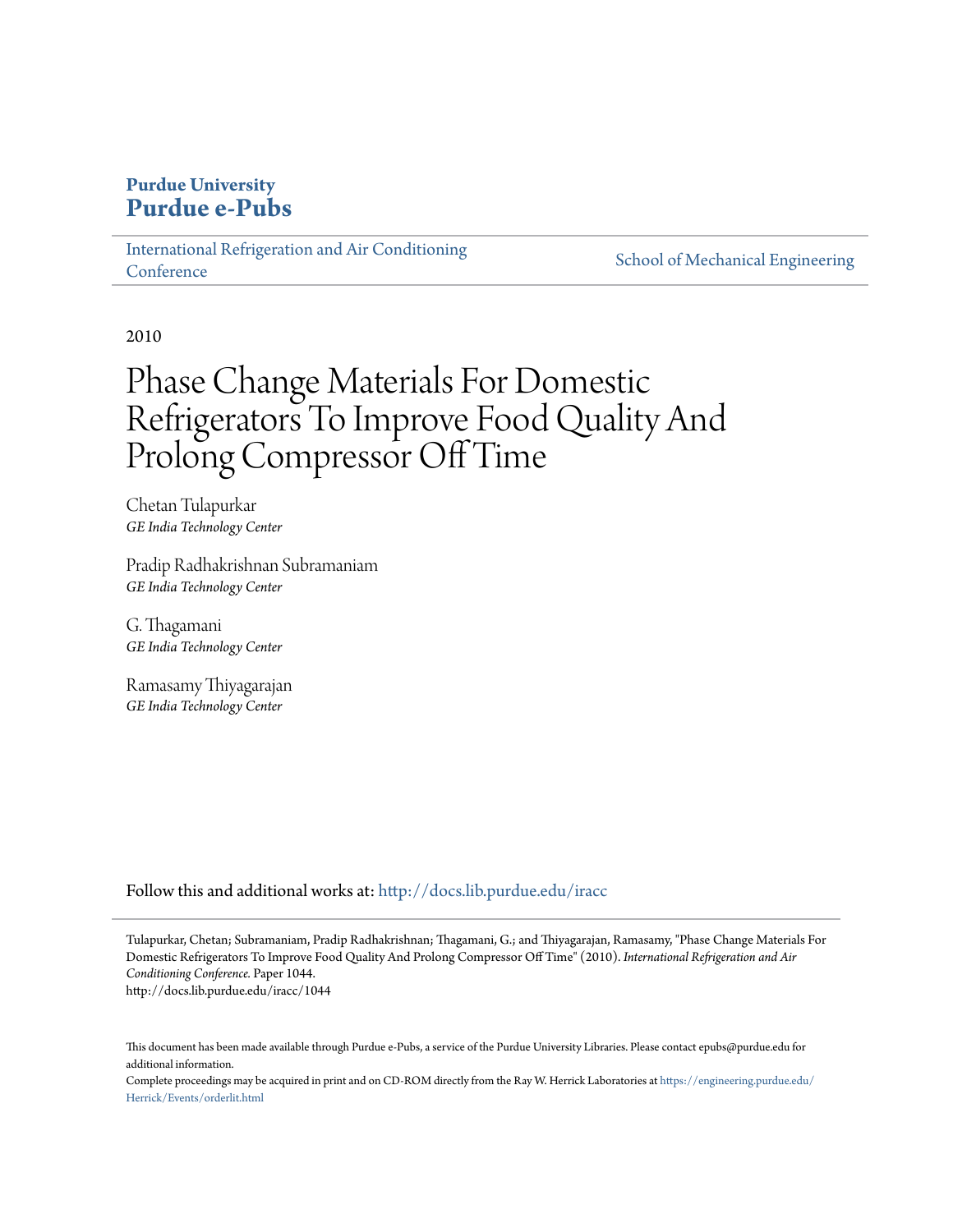### **Purdue University [Purdue e-Pubs](http://docs.lib.purdue.edu?utm_source=docs.lib.purdue.edu%2Firacc%2F1044&utm_medium=PDF&utm_campaign=PDFCoverPages)**

[International Refrigeration and Air Conditioning](http://docs.lib.purdue.edu/iracc?utm_source=docs.lib.purdue.edu%2Firacc%2F1044&utm_medium=PDF&utm_campaign=PDFCoverPages) **[Conference](http://docs.lib.purdue.edu/iracc?utm_source=docs.lib.purdue.edu%2Firacc%2F1044&utm_medium=PDF&utm_campaign=PDFCoverPages)** 

[School of Mechanical Engineering](http://docs.lib.purdue.edu/me?utm_source=docs.lib.purdue.edu%2Firacc%2F1044&utm_medium=PDF&utm_campaign=PDFCoverPages)

2010

# Phase Change Materials For Domestic Refrigerators To Improve Food Quality And Prolong Compressor Off Time

Chetan Tulapurkar *GE India Technology Center*

Pradip Radhakrishnan Subramaniam *GE India Technology Center*

G. Thagamani *GE India Technology Center*

Ramasamy Thiyagarajan *GE India Technology Center*

Follow this and additional works at: [http://docs.lib.purdue.edu/iracc](http://docs.lib.purdue.edu/iracc?utm_source=docs.lib.purdue.edu%2Firacc%2F1044&utm_medium=PDF&utm_campaign=PDFCoverPages)

Tulapurkar, Chetan; Subramaniam, Pradip Radhakrishnan; Thagamani, G.; and Thiyagarajan, Ramasamy, "Phase Change Materials For Domestic Refrigerators To Improve Food Quality And Prolong Compressor Off Time" (2010). *International Refrigeration and Air Conditioning Conference.* Paper 1044. http://docs.lib.purdue.edu/iracc/1044

This document has been made available through Purdue e-Pubs, a service of the Purdue University Libraries. Please contact epubs@purdue.edu for additional information.

Complete proceedings may be acquired in print and on CD-ROM directly from the Ray W. Herrick Laboratories at [https://engineering.purdue.edu/](https://engineering.purdue.edu/Herrick/Events/orderlit.html) [Herrick/Events/orderlit.html](https://engineering.purdue.edu/Herrick/Events/orderlit.html)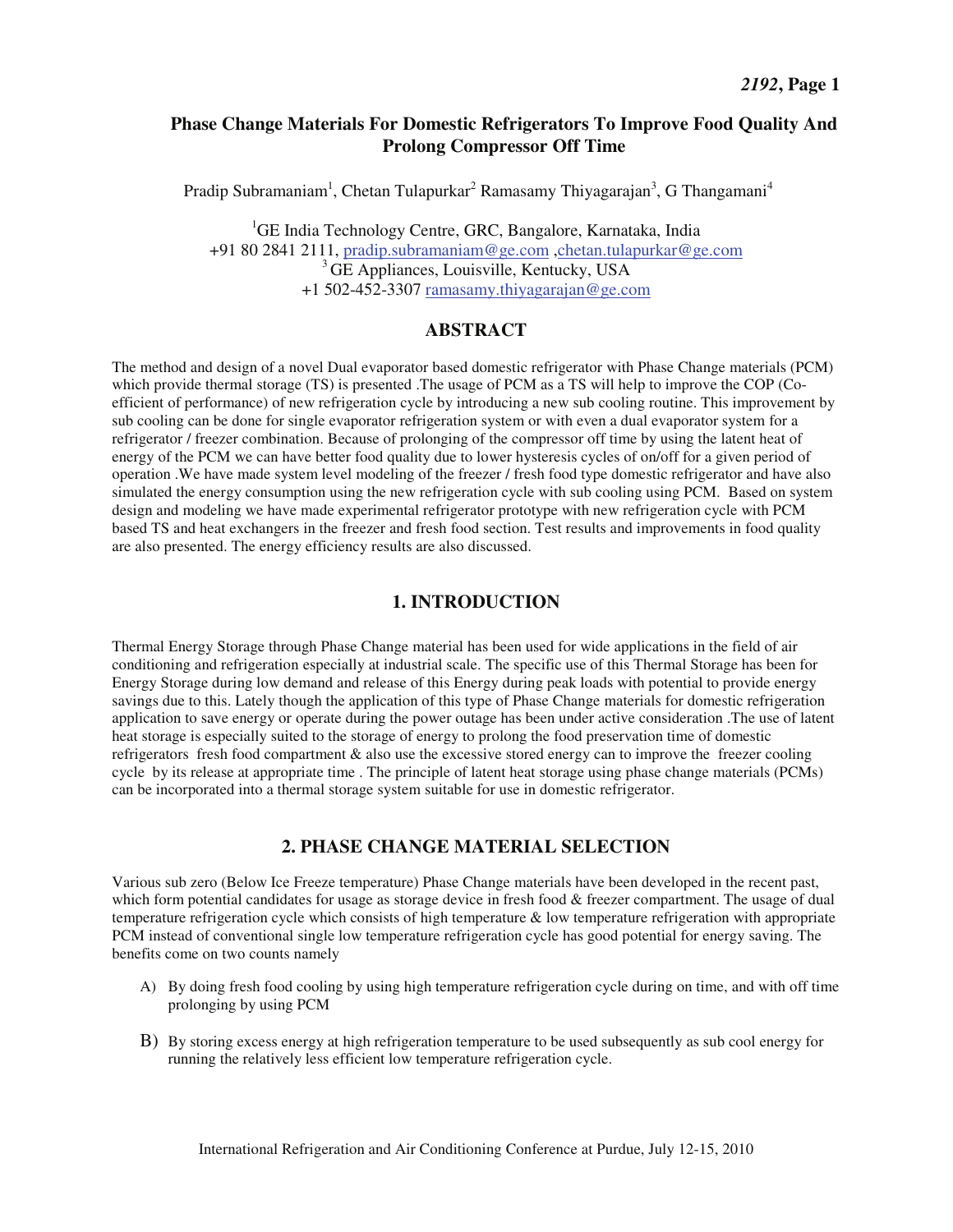#### **Phase Change Materials For Domestic Refrigerators To Improve Food Quality And Prolong Compressor Off Time**

Pradip Subramaniam<sup>1</sup>, Chetan Tulapurkar<sup>2</sup> Ramasamy Thiyagarajan<sup>3</sup>, G Thangamani<sup>4</sup>

<sup>1</sup>GE India Technology Centre, GRC, Bangalore, Karnataka, India +91 80 2841 2111, pradip.subramaniam@ge.com ,chetan.tulapurkar@ge.com <sup>3</sup> GE Appliances, Louisville, Kentucky, USA +1 502-452-3307 ramasamy.thiyagarajan@ge.com

#### **ABSTRACT**

The method and design of a novel Dual evaporator based domestic refrigerator with Phase Change materials (PCM) which provide thermal storage (TS) is presented .The usage of PCM as a TS will help to improve the COP (Coefficient of performance) of new refrigeration cycle by introducing a new sub cooling routine. This improvement by sub cooling can be done for single evaporator refrigeration system or with even a dual evaporator system for a refrigerator / freezer combination. Because of prolonging of the compressor off time by using the latent heat of energy of the PCM we can have better food quality due to lower hysteresis cycles of on/off for a given period of operation .We have made system level modeling of the freezer / fresh food type domestic refrigerator and have also simulated the energy consumption using the new refrigeration cycle with sub cooling using PCM. Based on system design and modeling we have made experimental refrigerator prototype with new refrigeration cycle with PCM based TS and heat exchangers in the freezer and fresh food section. Test results and improvements in food quality are also presented. The energy efficiency results are also discussed.

#### **1. INTRODUCTION**

Thermal Energy Storage through Phase Change material has been used for wide applications in the field of air conditioning and refrigeration especially at industrial scale. The specific use of this Thermal Storage has been for Energy Storage during low demand and release of this Energy during peak loads with potential to provide energy savings due to this. Lately though the application of this type of Phase Change materials for domestic refrigeration application to save energy or operate during the power outage has been under active consideration .The use of latent heat storage is especially suited to the storage of energy to prolong the food preservation time of domestic refrigerators fresh food compartment & also use the excessive stored energy can to improve the freezer cooling cycle by its release at appropriate time . The principle of latent heat storage using phase change materials (PCMs) can be incorporated into a thermal storage system suitable for use in domestic refrigerator.

#### **2. PHASE CHANGE MATERIAL SELECTION**

Various sub zero (Below Ice Freeze temperature) Phase Change materials have been developed in the recent past, which form potential candidates for usage as storage device in fresh food & freezer compartment. The usage of dual temperature refrigeration cycle which consists of high temperature & low temperature refrigeration with appropriate PCM instead of conventional single low temperature refrigeration cycle has good potential for energy saving. The benefits come on two counts namely

- A) By doing fresh food cooling by using high temperature refrigeration cycle during on time, and with off time prolonging by using PCM
- B) By storing excess energy at high refrigeration temperature to be used subsequently as sub cool energy for running the relatively less efficient low temperature refrigeration cycle.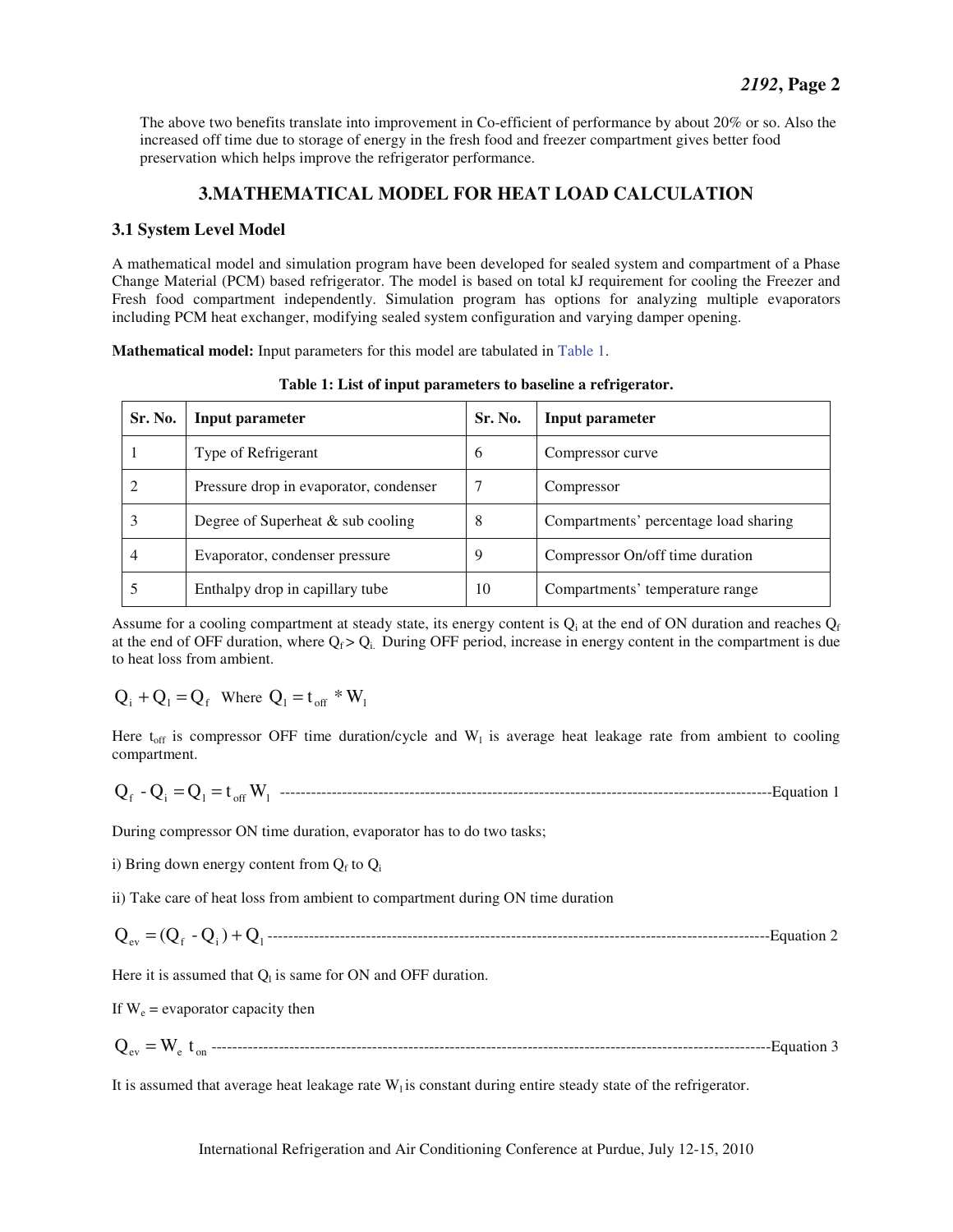The above two benefits translate into improvement in Co-efficient of performance by about 20% or so. Also the increased off time due to storage of energy in the fresh food and freezer compartment gives better food preservation which helps improve the refrigerator performance.

### **3.MATHEMATICAL MODEL FOR HEAT LOAD CALCULATION**

#### **3.1 System Level Model**

A mathematical model and simulation program have been developed for sealed system and compartment of a Phase Change Material (PCM) based refrigerator. The model is based on total kJ requirement for cooling the Freezer and Fresh food compartment independently. Simulation program has options for analyzing multiple evaporators including PCM heat exchanger, modifying sealed system configuration and varying damper opening.

**Mathematical model:** Input parameters for this model are tabulated in Table 1.

| Sr. No. | Input parameter                        | Sr. No. | Input parameter                       |
|---------|----------------------------------------|---------|---------------------------------------|
|         | Type of Refrigerant                    | -6      | Compressor curve                      |
|         | Pressure drop in evaporator, condenser |         | Compressor                            |
| 3       | Degree of Superheat $&$ sub cooling    | 8       | Compartments' percentage load sharing |
| 4       | Evaporator, condenser pressure         | 9       | Compressor On/off time duration       |
|         | Enthalpy drop in capillary tube        | 10      | Compartments' temperature range       |

**Table 1: List of input parameters to baseline a refrigerator.** 

Assume for a cooling compartment at steady state, its energy content is  $Q_i$  at the end of ON duration and reaches  $Q_f$ at the end of OFF duration, where  $Q_f > Q_i$ . During OFF period, increase in energy content in the compartment is due to heat loss from ambient.

$$
Q_i + Q_1 = Q_f
$$
 Where  $Q_1 = t_{off} * W_1$ 

Here  $t_{off}$  is compressor OFF time duration/cycle and  $W<sub>1</sub>$  is average heat leakage rate from ambient to cooling compartment.

$$
Q_f - Q_i = Q_1 = t_{off} W_1
$$
  $........$   $...$ 

During compressor ON time duration, evaporator has to do two tasks;

i) Bring down energy content from  $Q_f$  to  $Q_i$ 

ii) Take care of heat loss from ambient to compartment during ON time duration

$$
Q_{ev} = (Q_f - Q_i) + Q_1
$$
.................  
.................  
Equation 2

Here it is assumed that  $Q_l$  is same for ON and OFF duration.

If  $W_e$  = evaporator capacity then

$$
Q_{ev} = W_e t_{on}
$$
 *........ ........ 3*

It is assumed that average heat leakage rate  $W<sub>1</sub>$  is constant during entire steady state of the refrigerator.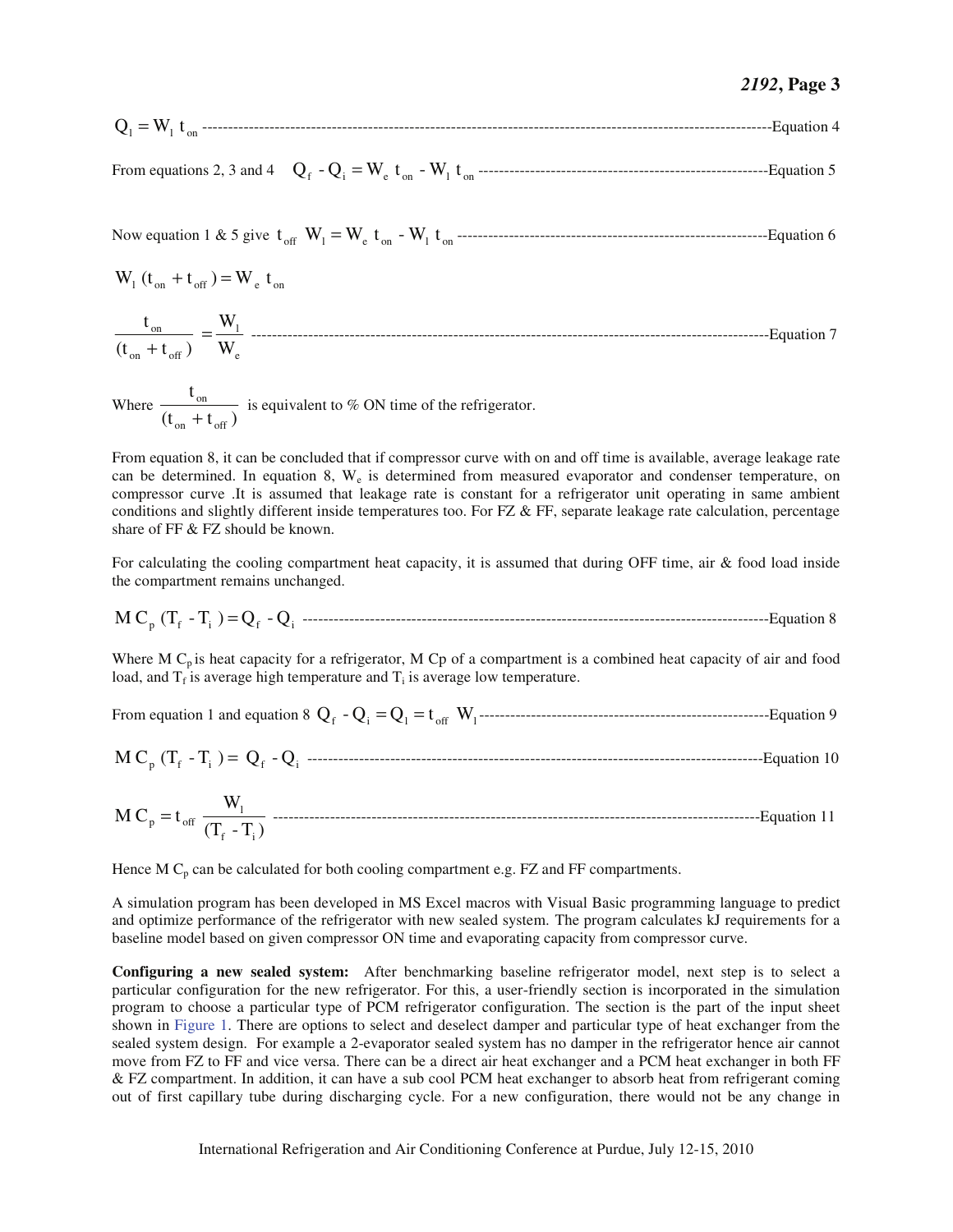$$
Q_1 = W_1 t_{on}
$$
 *........*

From equations 2, 3 and 4 f <sup>i</sup> <sup>e</sup> on <sup>l</sup> on Q - Q = W t - W t --------------------------------------------------------Equation 5

Now equation 1 & 5 give off <sup>l</sup> <sup>e</sup> on <sup>l</sup> on t W = W t - W t ------------------------------------------------------------Equation 6

$$
W_1(t_{on} + t_{off}) = W_e t_{on}
$$

e l on  $\mathfrak{c}_{\text{off}}$ on  $\frac{t_{on}}{(t_{on} + t_{off})} = \frac{W_1}{W_e}$ 

Where  $\frac{6n}{(t_{on} + t_{off})}$ t on  $\mathfrak{c}_{\text{off}}$  $\frac{\sin \theta}{\cos \theta}$  is equivalent to % ON time of the refrigerator.

From equation 8, it can be concluded that if compressor curve with on and off time is available, average leakage rate can be determined. In equation 8,  $W_e$  is determined from measured evaporator and condenser temperature, on compressor curve .It is assumed that leakage rate is constant for a refrigerator unit operating in same ambient conditions and slightly different inside temperatures too. For FZ & FF, separate leakage rate calculation, percentage share of FF & FZ should be known.

For calculating the cooling compartment heat capacity, it is assumed that during OFF time, air & food load inside the compartment remains unchanged.

<sup>p</sup> <sup>f</sup> <sup>i</sup> <sup>f</sup> Qi M C (T - T ) = Q - ------------------------------------------------------------------------------------------Equation 8

Where M  $C_p$  is heat capacity for a refrigerator, M  $C_p$  of a compartment is a combined heat capacity of air and food load, and  $T_f$  is average high temperature and  $T_i$  is average low temperature.

From equation 1 and equation 8 f <sup>i</sup> <sup>l</sup> off <sup>l</sup> Q - Q = Q = t W --------------------------------------------------------Equation 9

$$
M C_p (T_f - T_i) = Q_f - Q_i
$$
 1000

$$
M C_{p} = t_{off} \frac{W_{1}}{(T_{f} - T_{i})}
$$
 117.10

Hence M  $C_p$  can be calculated for both cooling compartment e.g. FZ and FF compartments.

A simulation program has been developed in MS Excel macros with Visual Basic programming language to predict and optimize performance of the refrigerator with new sealed system. The program calculates kJ requirements for a baseline model based on given compressor ON time and evaporating capacity from compressor curve.

**Configuring a new sealed system:** After benchmarking baseline refrigerator model, next step is to select a particular configuration for the new refrigerator. For this, a user-friendly section is incorporated in the simulation program to choose a particular type of PCM refrigerator configuration. The section is the part of the input sheet shown in Figure 1. There are options to select and deselect damper and particular type of heat exchanger from the sealed system design. For example a 2-evaporator sealed system has no damper in the refrigerator hence air cannot move from FZ to FF and vice versa. There can be a direct air heat exchanger and a PCM heat exchanger in both FF & FZ compartment. In addition, it can have a sub cool PCM heat exchanger to absorb heat from refrigerant coming out of first capillary tube during discharging cycle. For a new configuration, there would not be any change in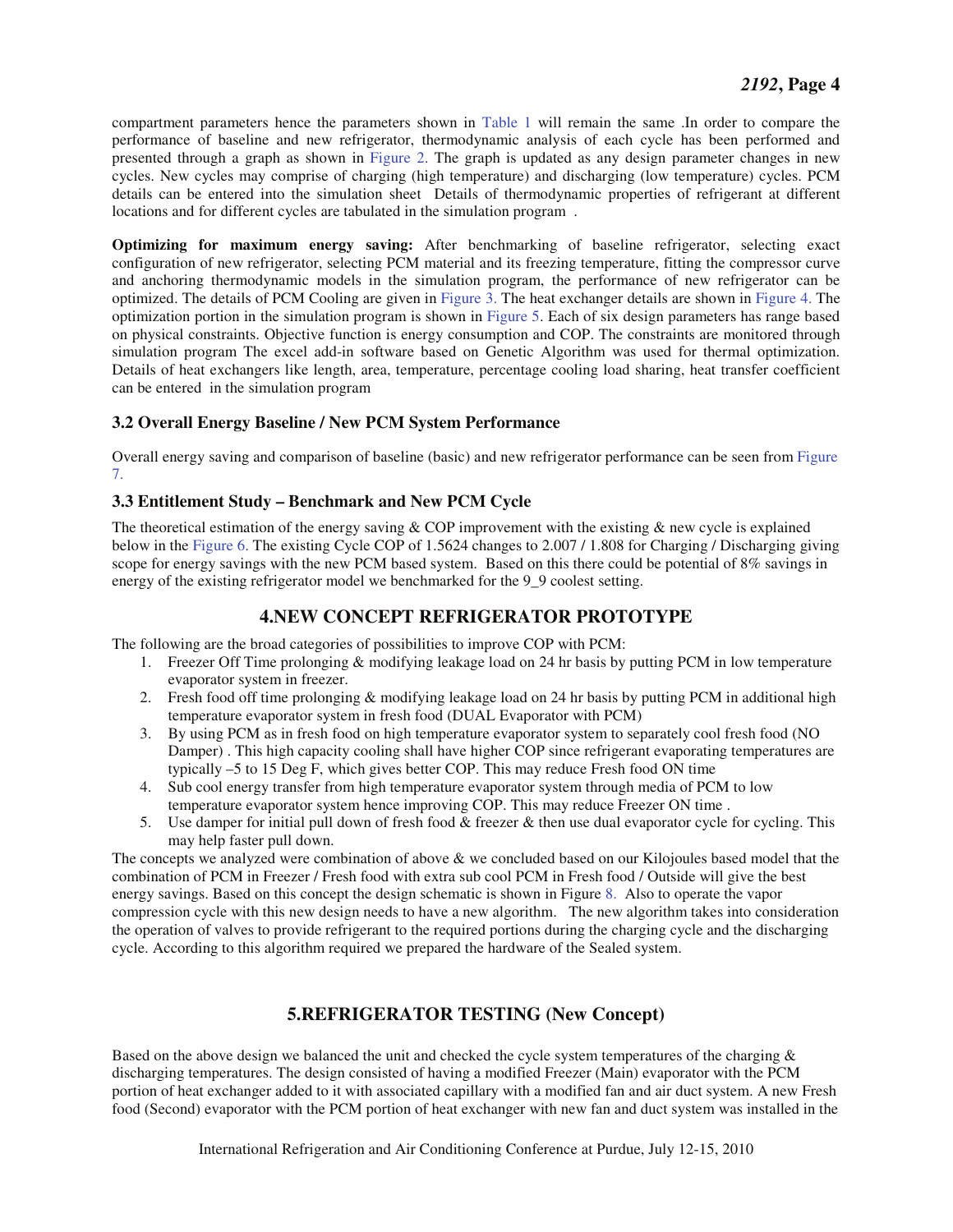compartment parameters hence the parameters shown in Table 1 will remain the same .In order to compare the performance of baseline and new refrigerator, thermodynamic analysis of each cycle has been performed and presented through a graph as shown in Figure 2. The graph is updated as any design parameter changes in new cycles. New cycles may comprise of charging (high temperature) and discharging (low temperature) cycles. PCM details can be entered into the simulation sheet Details of thermodynamic properties of refrigerant at different locations and for different cycles are tabulated in the simulation program .

**Optimizing for maximum energy saving:** After benchmarking of baseline refrigerator, selecting exact configuration of new refrigerator, selecting PCM material and its freezing temperature, fitting the compressor curve and anchoring thermodynamic models in the simulation program, the performance of new refrigerator can be optimized. The details of PCM Cooling are given in Figure 3. The heat exchanger details are shown in Figure 4. The optimization portion in the simulation program is shown in Figure 5. Each of six design parameters has range based on physical constraints. Objective function is energy consumption and COP. The constraints are monitored through simulation program The excel add-in software based on Genetic Algorithm was used for thermal optimization. Details of heat exchangers like length, area, temperature, percentage cooling load sharing, heat transfer coefficient can be entered in the simulation program

#### **3.2 Overall Energy Baseline / New PCM System Performance**

Overall energy saving and comparison of baseline (basic) and new refrigerator performance can be seen from Figure 7.

#### **3.3 Entitlement Study – Benchmark and New PCM Cycle**

The theoretical estimation of the energy saving  $& COP$  improvement with the existing  $& new cycle$  is explained below in the Figure 6. The existing Cycle COP of 1.5624 changes to 2.007 / 1.808 for Charging / Discharging giving scope for energy savings with the new PCM based system. Based on this there could be potential of 8% savings in energy of the existing refrigerator model we benchmarked for the 9\_9 coolest setting.

#### **4.NEW CONCEPT REFRIGERATOR PROTOTYPE**

The following are the broad categories of possibilities to improve COP with PCM:

- 1. Freezer Off Time prolonging & modifying leakage load on 24 hr basis by putting PCM in low temperature evaporator system in freezer.
- 2. Fresh food off time prolonging & modifying leakage load on 24 hr basis by putting PCM in additional high temperature evaporator system in fresh food (DUAL Evaporator with PCM)
- 3. By using PCM as in fresh food on high temperature evaporator system to separately cool fresh food (NO Damper) . This high capacity cooling shall have higher COP since refrigerant evaporating temperatures are typically –5 to 15 Deg F, which gives better COP. This may reduce Fresh food ON time
- 4. Sub cool energy transfer from high temperature evaporator system through media of PCM to low temperature evaporator system hence improving COP. This may reduce Freezer ON time .
- 5. Use damper for initial pull down of fresh food & freezer & then use dual evaporator cycle for cycling. This may help faster pull down.

The concepts we analyzed were combination of above & we concluded based on our Kilojoules based model that the combination of PCM in Freezer / Fresh food with extra sub cool PCM in Fresh food / Outside will give the best energy savings. Based on this concept the design schematic is shown in Figure 8. Also to operate the vapor compression cycle with this new design needs to have a new algorithm. The new algorithm takes into consideration the operation of valves to provide refrigerant to the required portions during the charging cycle and the discharging cycle. According to this algorithm required we prepared the hardware of the Sealed system.

#### **5.REFRIGERATOR TESTING (New Concept)**

Based on the above design we balanced the unit and checked the cycle system temperatures of the charging & discharging temperatures. The design consisted of having a modified Freezer (Main) evaporator with the PCM portion of heat exchanger added to it with associated capillary with a modified fan and air duct system. A new Fresh food (Second) evaporator with the PCM portion of heat exchanger with new fan and duct system was installed in the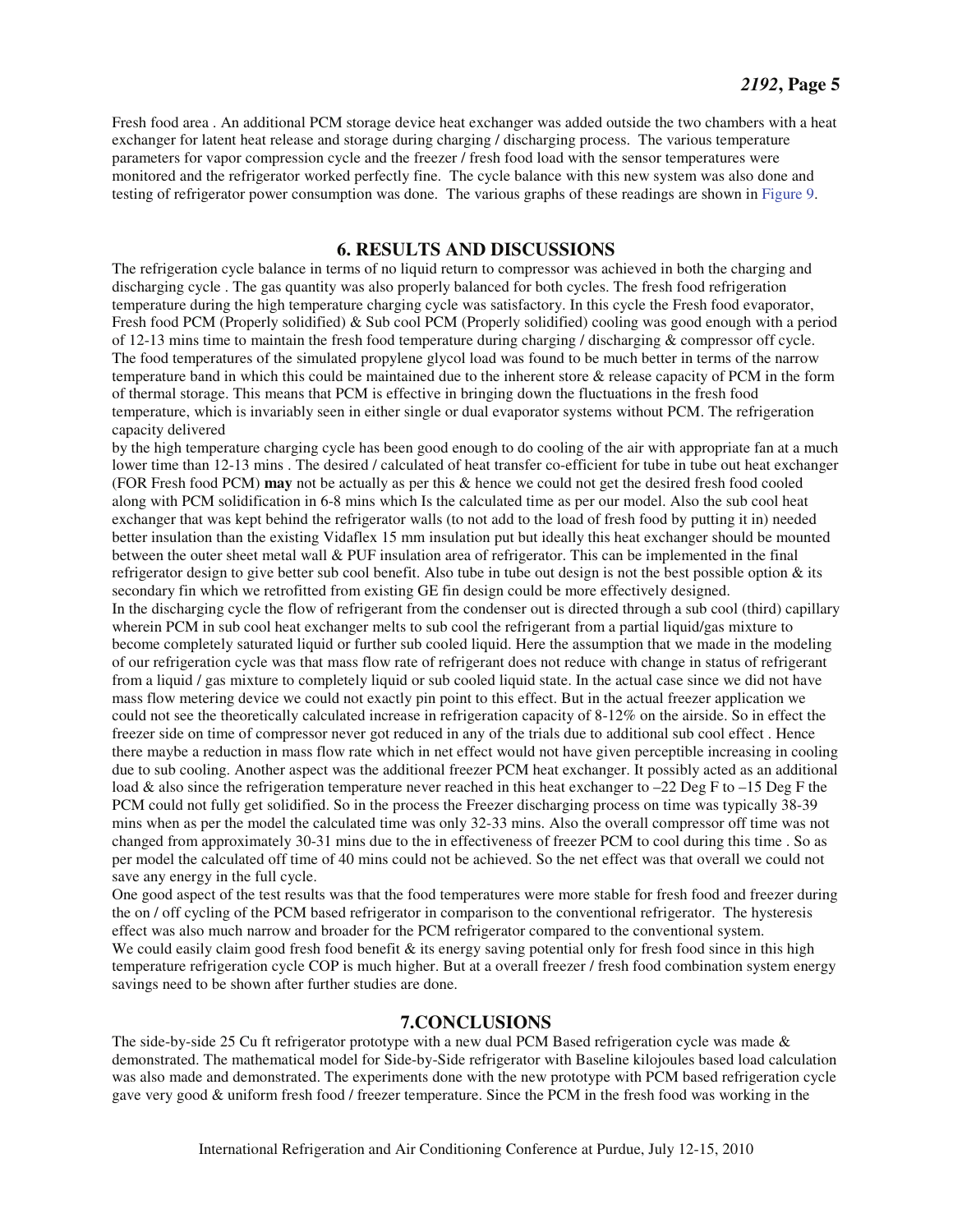Fresh food area . An additional PCM storage device heat exchanger was added outside the two chambers with a heat exchanger for latent heat release and storage during charging / discharging process. The various temperature parameters for vapor compression cycle and the freezer / fresh food load with the sensor temperatures were monitored and the refrigerator worked perfectly fine. The cycle balance with this new system was also done and testing of refrigerator power consumption was done. The various graphs of these readings are shown in Figure 9.

#### **6. RESULTS AND DISCUSSIONS**

The refrigeration cycle balance in terms of no liquid return to compressor was achieved in both the charging and discharging cycle . The gas quantity was also properly balanced for both cycles. The fresh food refrigeration temperature during the high temperature charging cycle was satisfactory. In this cycle the Fresh food evaporator, Fresh food PCM (Properly solidified) & Sub cool PCM (Properly solidified) cooling was good enough with a period of 12-13 mins time to maintain the fresh food temperature during charging / discharging & compressor off cycle. The food temperatures of the simulated propylene glycol load was found to be much better in terms of the narrow temperature band in which this could be maintained due to the inherent store & release capacity of PCM in the form of thermal storage. This means that PCM is effective in bringing down the fluctuations in the fresh food temperature, which is invariably seen in either single or dual evaporator systems without PCM. The refrigeration capacity delivered

by the high temperature charging cycle has been good enough to do cooling of the air with appropriate fan at a much lower time than 12-13 mins. The desired / calculated of heat transfer co-efficient for tube in tube out heat exchanger (FOR Fresh food PCM) **may** not be actually as per this & hence we could not get the desired fresh food cooled along with PCM solidification in 6-8 mins which Is the calculated time as per our model. Also the sub cool heat exchanger that was kept behind the refrigerator walls (to not add to the load of fresh food by putting it in) needed better insulation than the existing Vidaflex 15 mm insulation put but ideally this heat exchanger should be mounted between the outer sheet metal wall & PUF insulation area of refrigerator. This can be implemented in the final refrigerator design to give better sub cool benefit. Also tube in tube out design is not the best possible option & its secondary fin which we retrofitted from existing GE fin design could be more effectively designed. In the discharging cycle the flow of refrigerant from the condenser out is directed through a sub cool (third) capillary wherein PCM in sub cool heat exchanger melts to sub cool the refrigerant from a partial liquid/gas mixture to become completely saturated liquid or further sub cooled liquid. Here the assumption that we made in the modeling of our refrigeration cycle was that mass flow rate of refrigerant does not reduce with change in status of refrigerant from a liquid / gas mixture to completely liquid or sub cooled liquid state. In the actual case since we did not have mass flow metering device we could not exactly pin point to this effect. But in the actual freezer application we could not see the theoretically calculated increase in refrigeration capacity of 8-12% on the airside. So in effect the freezer side on time of compressor never got reduced in any of the trials due to additional sub cool effect . Hence there maybe a reduction in mass flow rate which in net effect would not have given perceptible increasing in cooling due to sub cooling. Another aspect was the additional freezer PCM heat exchanger. It possibly acted as an additional load & also since the refrigeration temperature never reached in this heat exchanger to  $-22$  Deg F to  $-15$  Deg F the PCM could not fully get solidified. So in the process the Freezer discharging process on time was typically 38-39 mins when as per the model the calculated time was only 32-33 mins. Also the overall compressor off time was not changed from approximately 30-31 mins due to the in effectiveness of freezer PCM to cool during this time . So as per model the calculated off time of 40 mins could not be achieved. So the net effect was that overall we could not save any energy in the full cycle.

One good aspect of the test results was that the food temperatures were more stable for fresh food and freezer during the on / off cycling of the PCM based refrigerator in comparison to the conventional refrigerator. The hysteresis effect was also much narrow and broader for the PCM refrigerator compared to the conventional system. We could easily claim good fresh food benefit  $\&$  its energy saving potential only for fresh food since in this high temperature refrigeration cycle COP is much higher. But at a overall freezer / fresh food combination system energy savings need to be shown after further studies are done.

#### **7.CONCLUSIONS**

The side-by-side 25 Cu ft refrigerator prototype with a new dual PCM Based refrigeration cycle was made  $\&$ demonstrated. The mathematical model for Side-by-Side refrigerator with Baseline kilojoules based load calculation was also made and demonstrated. The experiments done with the new prototype with PCM based refrigeration cycle gave very good & uniform fresh food / freezer temperature. Since the PCM in the fresh food was working in the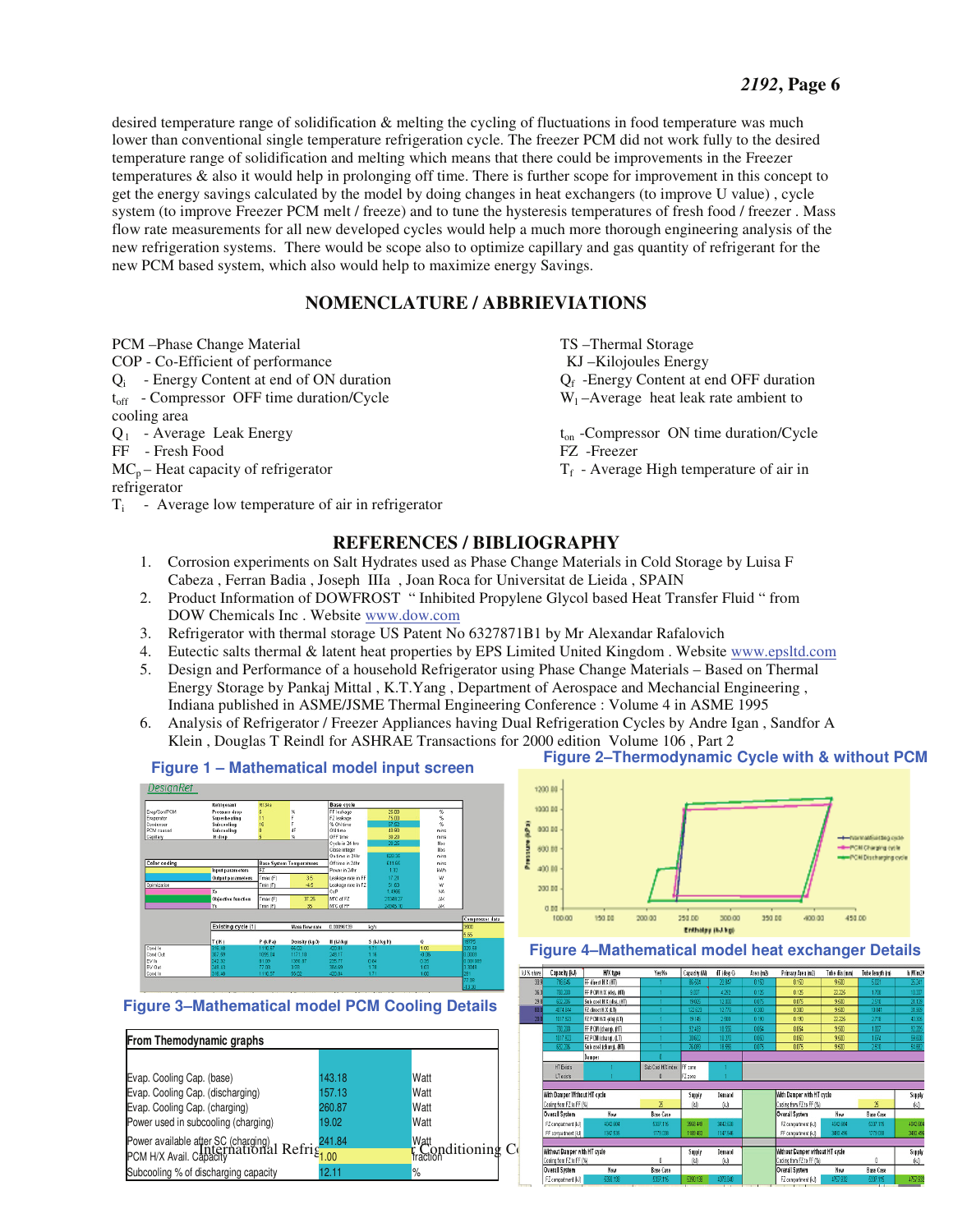desired temperature range of solidification & melting the cycling of fluctuations in food temperature was much lower than conventional single temperature refrigeration cycle. The freezer PCM did not work fully to the desired temperature range of solidification and melting which means that there could be improvements in the Freezer temperatures & also it would help in prolonging off time. There is further scope for improvement in this concept to get the energy savings calculated by the model by doing changes in heat exchangers (to improve U value) , cycle system (to improve Freezer PCM melt / freeze) and to tune the hysteresis temperatures of fresh food / freezer . Mass flow rate measurements for all new developed cycles would help a much more thorough engineering analysis of the new refrigeration systems. There would be scope also to optimize capillary and gas quantity of refrigerant for the new PCM based system, which also would help to maximize energy Savings.

#### **NOMENCLATURE / ABBRIEVIATIONS**

PCM –Phase Change Material TS –Thermal Storage Storage Storage Storage Storage Storage Storage Storage Storage Storage Storage Storage Storage Storage Storage Storage Storage Storage Storage Storage Storage Storage Storage COP - Co-Efficient of performance KJ –Kilojoules Energy  $Q_i$  - Energy Content at end of ON duration  $Q_f$  -Energy Content at end OFF duration  $V_{\text{tor}}$  - Compressor OFF time duration/Cycle  $W_1$  – Average heat leak rate ambient to  $t_{off}$  – Compressor OFF time duration/Cycle cooling area  $Q_1$  - Average Leak Energy ton -Compressor ON time duration/Cycle FF - Fresh Food<br>MC<sub>p</sub> – Heat capacity of refrigerator<br> $T_f$  - Average

refrigerator  $T_i$  - Average low temperature of air in refrigerator

 $T_f$  - Average High temperature of air in

#### **REFERENCES / BIBLIOGRAPHY**

- 1. Corrosion experiments on Salt Hydrates used as Phase Change Materials in Cold Storage by Luisa F Cabeza , Ferran Badia , Joseph IIIa , Joan Roca for Universitat de Lieida , SPAIN
- 2. Product Information of DOWFROST " Inhibited Propylene Glycol based Heat Transfer Fluid " from DOW Chemicals Inc . Website www.dow.com
- 3. Refrigerator with thermal storage US Patent No 6327871B1 by Mr Alexandar Rafalovich
- 4. Eutectic salts thermal & latent heat properties by EPS Limited United Kingdom . Website www.epsltd.com
- 5. Design and Performance of a household Refrigerator using Phase Change Materials Based on Thermal Energy Storage by Pankaj Mittal , K.T.Yang , Department of Aerospace and Mechancial Engineering , Indiana published in ASME/JSME Thermal Engineering Conference : Volume 4 in ASME 1995
- 6. Analysis of Refrigerator / Freezer Appliances having Dual Refrigeration Cycles by Andre Igan , Sandfor A Klein , Douglas T Reindl for ASHRAE Transactions for 2000 edition Volume 106 , Part 2



## **Figure 2–Thermodynamic Cycle with & without PCM Figure 1 – Mathematical model input screen**

#### **Figure 3–Mathematical model PCM Cooling Details**





#### **Figure 4–Mathematical model heat exchanger Details**

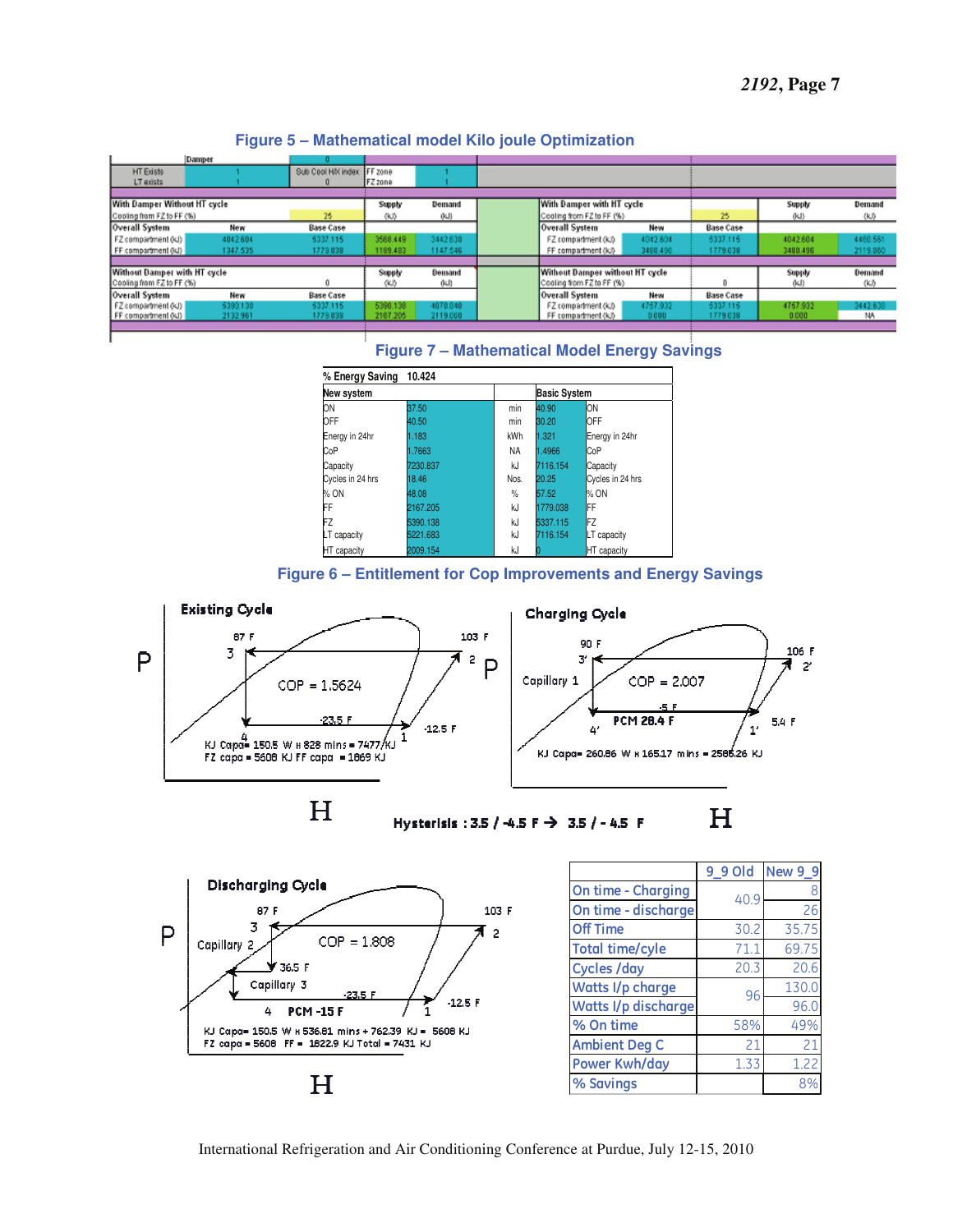|                                 | Damper   |                   |          |                           |                                 |          |                  |               |          |
|---------------------------------|----------|-------------------|----------|---------------------------|---------------------------------|----------|------------------|---------------|----------|
| HT Exists                       |          | Sub Cool HA index | FF zone  |                           |                                 |          |                  |               |          |
| LT exists                       |          |                   | FZ zone  |                           |                                 |          |                  |               |          |
|                                 |          |                   |          |                           |                                 |          |                  |               |          |
| With Damper Without HT cycle    |          |                   | Supply   | Demand                    | With Damper with HT cycle       |          |                  | Supply        | Demand   |
| 26<br>Cooling from FZ to FF (%) |          |                   | (KJ)     | (kJ)                      | Cooling from FZ to FF (%)       |          | 26               | (KJ)          | (kJ)     |
| Overall System                  | New      | <b>Base Case</b>  |          |                           | <b>Overall System</b>           | New      | <b>Base Case</b> |               |          |
| FZ compartment (KJ)             | 4042.604 | 5337.115          | 3568,449 | 3442.630                  | FZ compartment (kJ)             | 4042.604 | 5337.115         | 4042.604      | 4460,581 |
| FF compartment (kJ)             | 1347.635 | 1779.038          | 1189.483 | 1147.546                  | FF compartment (kJ)             | 3480.496 | 1779.038         | 3480.496      | 2119.060 |
|                                 |          |                   |          |                           |                                 |          |                  |               |          |
| Without Damper with HT cycle    |          |                   | Supply   | Demand                    | Without Damper without HT cycle |          |                  | <b>Supply</b> | Demand   |
| Cooling from FZ to FF (%)       |          | (KJ)              | (KJ)     | Cooling from FZ to FF (%) |                                 |          | (KJ)             | (KJ)          |          |
| Overall System                  | New      | <b>Base Case</b>  |          |                           | Overall System                  | New      | <b>Base Case</b> |               |          |
| FZ compartment (KJ)             | 5390.130 | 5337.115          | 5390.138 | 4070 840                  | FZ compartment (kJ)             | 4757.932 | 5337.115         | 4757.932      | 3442.638 |
| FF compartment (KJ)             | 2132.961 | 1779.038          | 2167.205 | 2119.000                  | FF compartment (kJ)             | 0.000    | 1779.038         | 0.000         | NА       |



#### **Figure 7 – Mathematical Model Energy Savings**





Hysterisis: 3.5 / -4.5 F -> 3.5 / - 4.5 F



|                        | 9 9 Old | <b>New 9 9</b> |
|------------------------|---------|----------------|
| On time - Charging     | 40.9    | 8              |
| On time - discharge    |         | 26             |
| <b>Off Time</b>        | 30.2    | 35.75          |
| <b>Total time/cyle</b> | 71.1    | 69.75          |
| <b>Cycles /day</b>     | 20.3    | 20.6           |
| Watts I/p charge       | 96      | 130.0          |
| Watts I/p discharge    |         | 96.0           |
| % On time              | 58%     | 49%            |
| <b>Ambient Deg C</b>   | 21      | 21             |
| Power Kwh/day          | 1.33    | 1.22           |
| % Savings              |         | 8%             |

International Refrigeration and Air Conditioning Conference at Purdue, July 12-15, 2010